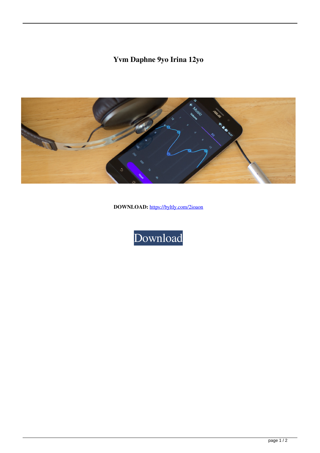## Yvm Daphne 9yo Irina 12yo



DOWNLOAD: https://byltly.com/2ioaon